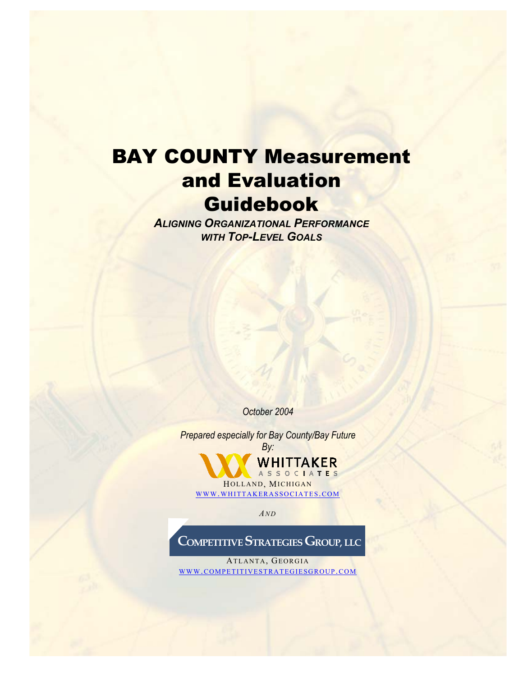# BAY COUNTY Measurement and Evaluation Guidebook

*ALIGNING ORGANIZATIONAL PERFORMANCE WITH TOP-LEVEL GOALS*

*October 2004* 

*Prepared especially for Bay County/Bay Future By:* 

**WHITTAKER ASSOCIATES** HOLLAND, MICHIGAN WWW.WHITTAKERASSOCIATES.COM

 $\overline{AND}$ 

**COMPETITIVE STRATEGIES GROUP, LLC**

ATLANTA, GEORGIA WWW.COMPETITIVESTRATEGIESGROUP.COM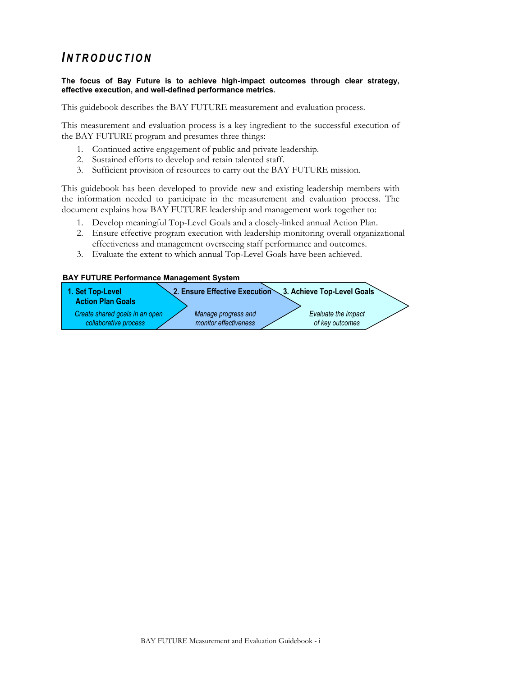# *I NTRODUCTION*

#### **The focus of Bay Future is to achieve high-impact outcomes through clear strategy, effective execution, and well-defined performance metrics.**

This guidebook describes the BAY FUTURE measurement and evaluation process.

This measurement and evaluation process is a key ingredient to the successful execution of the BAY FUTURE program and presumes three things:

- 1. Continued active engagement of public and private leadership.
- 2. Sustained efforts to develop and retain talented staff.
- 3. Sufficient provision of resources to carry out the BAY FUTURE mission.

This guidebook has been developed to provide new and existing leadership members with the information needed to participate in the measurement and evaluation process. The document explains how BAY FUTURE leadership and management work together to:

- 1. Develop meaningful Top-Level Goals and a closely-linked annual Action Plan.
- 2. Ensure effective program execution with leadership monitoring overall organizational effectiveness and management overseeing staff performance and outcomes.
- 3. Evaluate the extent to which annual Top-Level Goals have been achieved.

#### **BAY FUTURE Performance Management System**

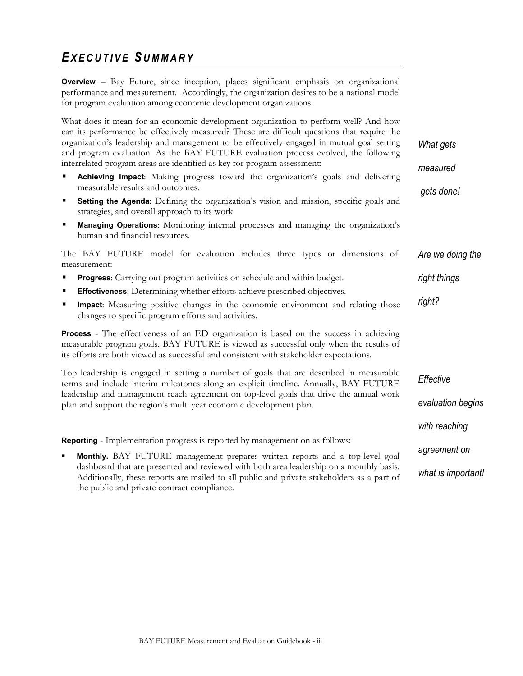# *EXECUTIVE S UMMARY*

**Overview** – Bay Future, since inception, places significant emphasis on organizational performance and measurement.Accordingly, the organization desires to be a national model for program evaluation among economic development organizations.

What does it mean for an economic development organization to perform well? And how can its performance be effectively measured? These are difficult questions that require the organization's leadership and management to be effectively engaged in mutual goal setting and program evaluation. As the BAY FUTURE evaluation process evolved, the following interrelated program areas are identified as key for program assessment:

- **Achieving Impact**: Making progress toward the organization's goals and delivering measurable results and outcomes.
- **Setting the Agenda**: Defining the organization's vision and mission, specific goals and strategies, and overall approach to its work.
- **Managing Operations**: Monitoring internal processes and managing the organization's human and financial resources.

The BAY FUTURE model for evaluation includes three types or dimensions of measurement: *Are we doing the* 

*What gets* 

*measured* 

 *gets done!* 

*right things* 

*with reaching* 

*agreement on* 

*what is important!*

- **Progress**: Carrying out program activities on schedule and within budget.
- **Effectiveness**: Determining whether efforts achieve prescribed objectives.
- **Impact**: Measuring positive changes in the economic environment and relating those changes to specific program efforts and activities. *right?*

**Process** - The effectiveness of an ED organization is based on the success in achieving measurable program goals. BAY FUTURE is viewed as successful only when the results of its efforts are both viewed as successful and consistent with stakeholder expectations.

Top leadership is engaged in setting a number of goals that are described in measurable terms and include interim milestones along an explicit timeline. Annually, BAY FUTURE leadership and management reach agreement on top-level goals that drive the annual work plan and support the region's multi year economic development plan. *Effective evaluation begins* 

**Reporting** - Implementation progress is reported by management on as follows:

 **Monthly.** BAY FUTURE management prepares written reports and a top-level goal dashboard that are presented and reviewed with both area leadership on a monthly basis. Additionally, these reports are mailed to all public and private stakeholders as a part of the public and private contract compliance.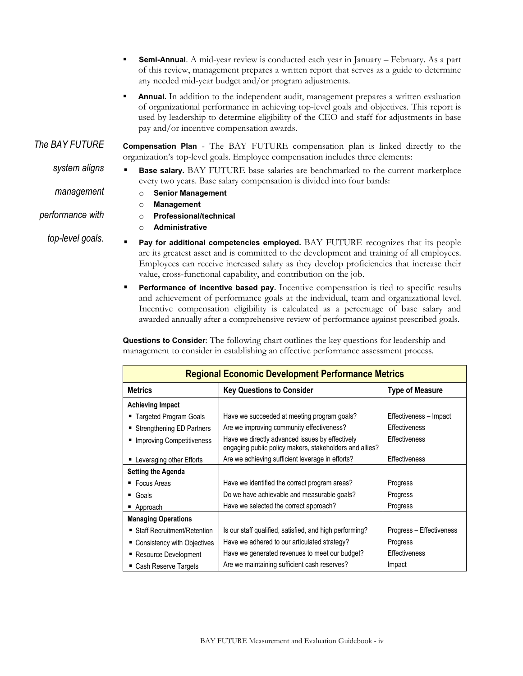- **Semi-Annual**. A mid-year review is conducted each year in January February. As a part of this review, management prepares a written report that serves as a guide to determine any needed mid-year budget and/or program adjustments.
- **Annual.** In addition to the independent audit, management prepares a written evaluation of organizational performance in achieving top-level goals and objectives. This report is used by leadership to determine eligibility of the CEO and staff for adjustments in base pay and/or incentive compensation awards.

**Compensation Plan** - The BAY FUTURE compensation plan is linked directly to the organization's top-level goals. Employee compensation includes three elements: *The BAY FUTURE* 

- **Base salary.** BAY FUTURE base salaries are benchmarked to the current marketplace every two years. Base salary compensation is divided into four bands:
	- o **Senior Management**
	- o **Management**
	- o **Professional/technical**
	- o **Administrative**
- **Pay for additional competencies employed.** BAY FUTURE recognizes that its people are its greatest asset and is committed to the development and training of all employees. Employees can receive increased salary as they develop proficiencies that increase their value, cross-functional capability, and contribution on the job.
- **Performance of incentive based pay.** Incentive compensation is tied to specific results and achievement of performance goals at the individual, team and organizational level. Incentive compensation eligibility is calculated as a percentage of base salary and awarded annually after a comprehensive review of performance against prescribed goals.

**Questions to Consider**: The following chart outlines the key questions for leadership and management to consider in establishing an effective performance assessment process.

| <b>Regional Economic Development Performance Metrics</b> |                                                                                                            |                          |  |
|----------------------------------------------------------|------------------------------------------------------------------------------------------------------------|--------------------------|--|
| <b>Metrics</b><br><b>Key Questions to Consider</b>       |                                                                                                            | <b>Type of Measure</b>   |  |
| <b>Achieving Impact</b>                                  |                                                                                                            |                          |  |
| ■ Targeted Program Goals                                 | Have we succeeded at meeting program goals?                                                                | Effectiveness - Impact   |  |
| ■ Strengthening ED Partners                              | Are we improving community effectiveness?                                                                  | <b>Effectiveness</b>     |  |
| ■ Improving Competitiveness                              | Have we directly advanced issues by effectively<br>engaging public policy makers, stakeholders and allies? | <b>Effectiveness</b>     |  |
| <b>Exercise Leveraging other Efforts</b>                 | Are we achieving sufficient leverage in efforts?                                                           | <b>Effectiveness</b>     |  |
| <b>Setting the Agenda</b>                                |                                                                                                            |                          |  |
| ■ Focus Areas                                            | Have we identified the correct program areas?                                                              | Progress                 |  |
| Goals                                                    | Do we have achievable and measurable goals?                                                                | Progress                 |  |
| ■ Approach                                               | Have we selected the correct approach?                                                                     | Progress                 |  |
| <b>Managing Operations</b>                               |                                                                                                            |                          |  |
| ■ Staff Recruitment/Retention                            | Is our staff qualified, satisfied, and high performing?                                                    | Progress - Effectiveness |  |
| ■ Consistency with Objectives                            | Have we adhered to our articulated strategy?                                                               | Progress                 |  |
| ■ Resource Development                                   | Have we generated revenues to meet our budget?                                                             | <b>Effectiveness</b>     |  |
| ■ Cash Reserve Targets                                   | Are we maintaining sufficient cash reserves?                                                               | Impact                   |  |

*system aligns* 

*management* 

*performance with* 

*top-level goals.*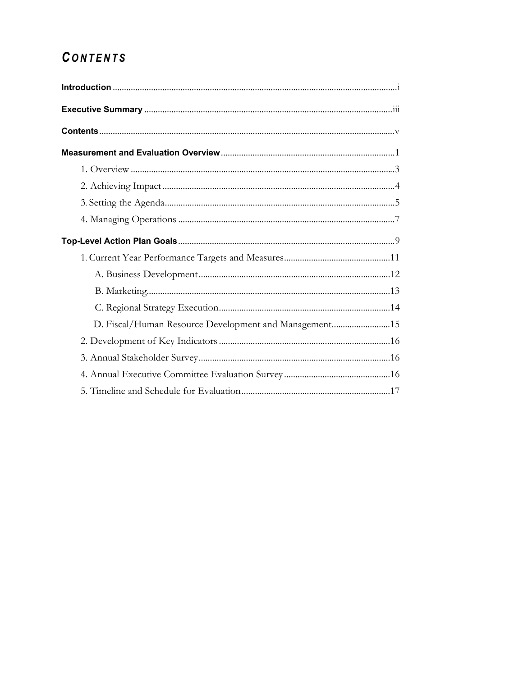# CONTENTS

| D. Fiscal/Human Resource Development and Management15 |  |
|-------------------------------------------------------|--|
|                                                       |  |
|                                                       |  |
|                                                       |  |
|                                                       |  |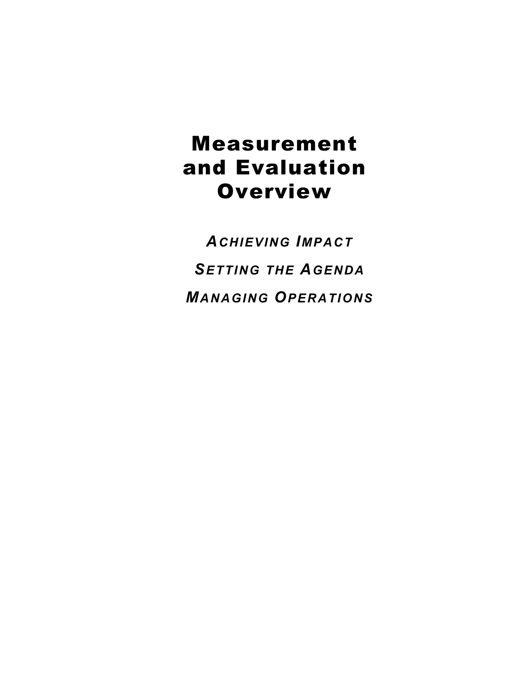# Measurement and Evaluation **Overview**

*ACHIEVING IMPACT SETTING THE AGENDA MANAGING OPERATIONS*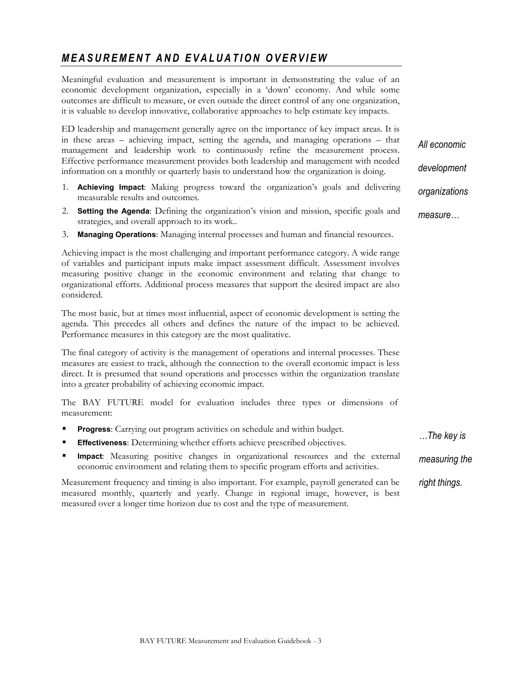# *MEASUREMENT AND EVALUATION OVERVIEW*

Meaningful evaluation and measurement is important in demonstrating the value of an economic development organization, especially in a 'down' economy. And while some outcomes are difficult to measure, or even outside the direct control of any one organization, it is valuable to develop innovative, collaborative approaches to help estimate key impacts.

ED leadership and management generally agree on the importance of key impact areas. It is in these areas – achieving impact, setting the agenda, and managing operations – that management and leadership work to continuously refine the measurement process. Effective performance measurement provides both leadership and management with needed information on a monthly or quarterly basis to understand how the organization is doing.

- 1. **Achieving Impact**: Making progress toward the organization's goals and delivering measurable results and outcomes.
- 2. **Setting the Agenda**: Defining the organization's vision and mission, specific goals and strategies, and overall approach to its work..
- 3. **Managing Operations**: Managing internal processes and human and financial resources.

Achieving impact is the most challenging and important performance category**.** A wide range of variables and participant inputs make impact assessment difficult. Assessment involves measuring positive change in the economic environment and relating that change to organizational efforts. Additional process measures that support the desired impact are also considered.

The most basic, but at times most influential, aspect of economic development is setting the agenda. This precedes all others and defines the nature of the impact to be achieved. Performance measures in this category are the most qualitative.

The final category of activity is the management of operations and internal processes. These measures are easiest to track, although the connection to the overall economic impact is less direct. It is presumed that sound operations and processes within the organization translate into a greater probability of achieving economic impact.

The BAY FUTURE model for evaluation includes three types or dimensions of measurement:

- **Progress**: Carrying out program activities on schedule and within budget.
- **Effectiveness**: Determining whether efforts achieve prescribed objectives.
- **Impact**: Measuring positive changes in organizational resources and the external economic environment and relating them to specific program efforts and activities. *measuring the*

Measurement frequency and timing is also important. For example, payroll generated can be measured monthly, quarterly and yearly. Change in regional image, however, is best measured over a longer time horizon due to cost and the type of measurement.

*organizations measure…*

*…The key is* 

*right things.*

*All economic* 

*development*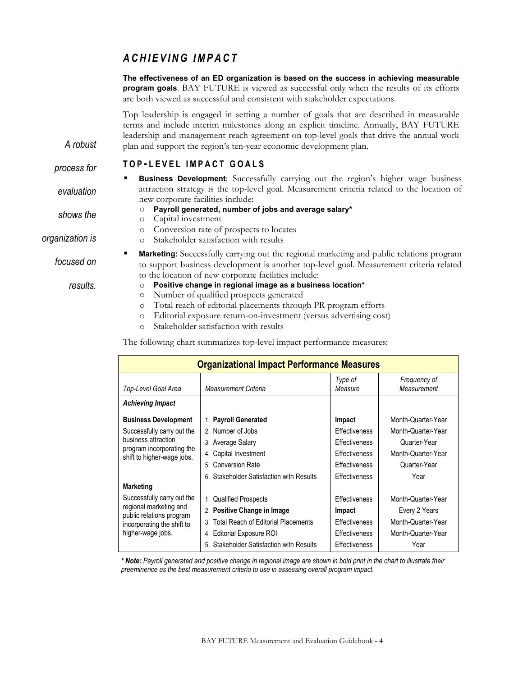# *ACHIEVING IMPACT*

**The effectiveness of an ED organization is based on the success in achieving measurable program goals**. BAY FUTURE is viewed as successful only when the results of its efforts are both viewed as successful and consistent with stakeholder expectations.

Top leadership is engaged in setting a number of goals that are described in measurable terms and include interim milestones along an explicit timeline. Annually, BAY FUTURE leadership and management reach agreement on top-level goals that drive the annual work plan and support the region's ten-year economic development plan.

### **TOP - LEVEL IMPACT GOALS**

- **Business Development**: Successfully carrying out the region's higher wage business attraction strategy is the top-level goal. Measurement criteria related to the location of new corporate facilities include:
	- o **Payroll generated, number of jobs and average salary\***
	- o Capital investment
	- o Conversion rate of prospects to locates
	- o Stakeholder satisfaction with results
- **Marketing**: Successfully carrying out the regional marketing and public relations program to support business development is another top-level goal. Measurement criteria related to the location of new corporate facilities include:
	- o **Positive change in regional image as a business location\***
	- o Number of qualified prospects generated
	- o Total reach of editorial placements through PR program efforts
	- o Editorial exposure return-on-investment (versus advertising cost)
	- o Stakeholder satisfaction with results

The following chart summarizes top-level impact performance measures:

| <b>Organizational Impact Performance Measures</b>                                                     |                                            |                      |                             |  |
|-------------------------------------------------------------------------------------------------------|--------------------------------------------|----------------------|-----------------------------|--|
| Top-Level Goal Area                                                                                   | Measurement Criteria                       | Type of<br>Measure   | Frequency of<br>Measurement |  |
| <b>Achieving Impact</b>                                                                               |                                            |                      |                             |  |
| <b>Business Development</b>                                                                           | 1. Payroll Generated                       | Impact               | Month-Quarter-Year          |  |
| Successfully carry out the                                                                            | 2 Number of Jobs                           | <b>Effectiveness</b> | Month-Quarter-Year          |  |
| business attraction                                                                                   | 3. Average Salary                          | <b>Effectiveness</b> | Quarter-Year                |  |
| program incorporating the<br>shift to higher-wage jobs.                                               | 4. Capital Investment                      | <b>Effectiveness</b> | Month-Quarter-Year          |  |
|                                                                                                       | 5. Conversion Rate                         | <b>Effectiveness</b> | Quarter-Year                |  |
|                                                                                                       | Stakeholder Satisfaction with Results<br>6 | <b>Effectiveness</b> | Year                        |  |
| <b>Marketing</b>                                                                                      |                                            |                      |                             |  |
| Successfully carry out the                                                                            | <b>Qualified Prospects</b><br>1.           | <b>Effectiveness</b> | Month-Quarter-Year          |  |
| regional marketing and<br>public relations program<br>incorporating the shift to<br>higher-wage jobs. | 2. Positive Change in Image                | Impact               | Every 2 Years               |  |
|                                                                                                       | 3. Total Reach of Editorial Placements     | <b>Effectiveness</b> | Month-Quarter-Year          |  |
|                                                                                                       | <b>Editorial Exposure ROI</b><br>4.        | <b>Effectiveness</b> | Month-Quarter-Year          |  |
|                                                                                                       | Stakeholder Satisfaction with Results<br>5 | <b>Effectiveness</b> | Year                        |  |

*\* Note: Payroll generated and positive change in regional image are shown in bold print in the chart to illustrate their preeminence as the best measurement criteria to use in assessing overall program impact.* 

*focused on results.*

*A robust* 

*process for* 

*evaluation* 

*shows the* 

*organization is*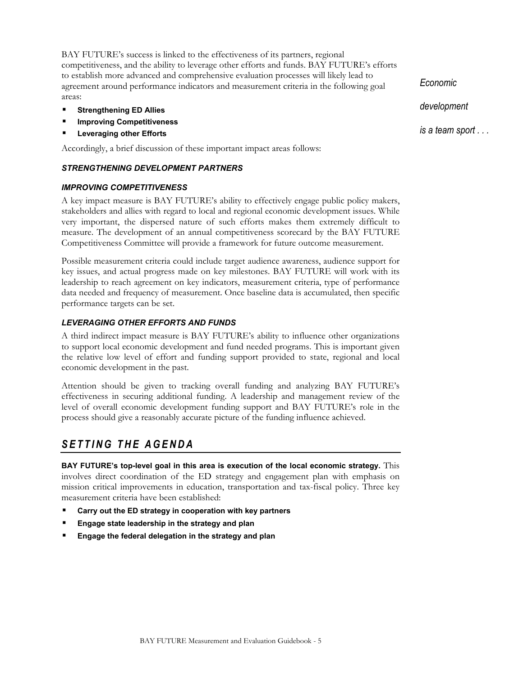BAY FUTURE's success is linked to the effectiveness of its partners, regional competitiveness, and the ability to leverage other efforts and funds. BAY FUTURE's efforts to establish more advanced and comprehensive evaluation processes will likely lead to agreement around performance indicators and measurement criteria in the following goal areas:

- **Strengthening ED Allies**
- **Improving Competitiveness**
- **Leveraging other Efforts**

Accordingly, a brief discussion of these important impact areas follows:

#### *STRENGTHENING DEVELOPMENT PARTNERS*

#### *IMPROVING COMPETITIVENESS*

A key impact measure is BAY FUTURE's ability to effectively engage public policy makers, stakeholders and allies with regard to local and regional economic development issues. While very important, the dispersed nature of such efforts makes them extremely difficult to measure. The development of an annual competitiveness scorecard by the BAY FUTURE Competitiveness Committee will provide a framework for future outcome measurement.

Possible measurement criteria could include target audience awareness, audience support for key issues, and actual progress made on key milestones. BAY FUTURE will work with its leadership to reach agreement on key indicators, measurement criteria, type of performance data needed and frequency of measurement. Once baseline data is accumulated, then specific performance targets can be set.

#### *LEVERAGING OTHER EFFORTS AND FUNDS*

A third indirect impact measure is BAY FUTURE's ability to influence other organizations to support local economic development and fund needed programs. This is important given the relative low level of effort and funding support provided to state, regional and local economic development in the past.

Attention should be given to tracking overall funding and analyzing BAY FUTURE's effectiveness in securing additional funding. A leadership and management review of the level of overall economic development funding support and BAY FUTURE's role in the process should give a reasonably accurate picture of the funding influence achieved.

# *SETTING THE AGENDA*

**BAY FUTURE's top-level goal in this area is execution of the local economic strategy.** This involves direct coordination of the ED strategy and engagement plan with emphasis on mission critical improvements in education, transportation and tax-fiscal policy. Three key measurement criteria have been established:

- **Carry out the ED strategy in cooperation with key partners**
- **Engage state leadership in the strategy and plan**
- **Engage the federal delegation in the strategy and plan**

*Economic* 

*development* 

*is a team sport . . .*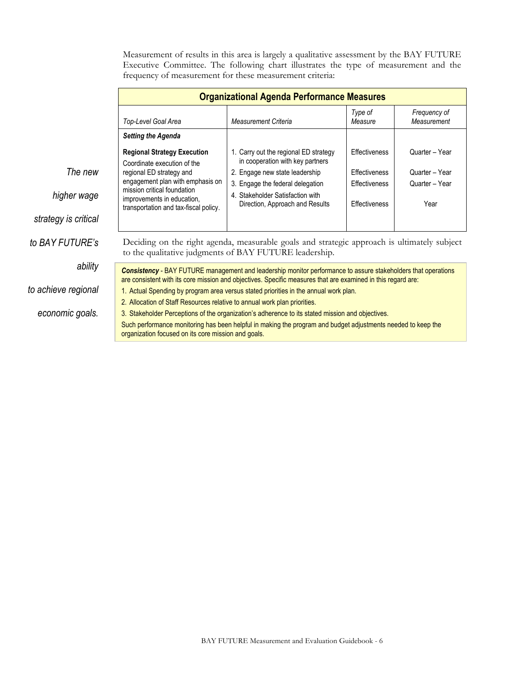Measurement of results in this area is largely a qualitative assessment by the BAY FUTURE Executive Committee. The following chart illustrates the type of measurement and the frequency of measurement for these measurement criteria:

|                      | <b>Organizational Agenda Performance Measures</b>                                                                                                                                                                                                                                             |                                                                                                                                                                                                                                      |                                              |                             |
|----------------------|-----------------------------------------------------------------------------------------------------------------------------------------------------------------------------------------------------------------------------------------------------------------------------------------------|--------------------------------------------------------------------------------------------------------------------------------------------------------------------------------------------------------------------------------------|----------------------------------------------|-----------------------------|
|                      | Top-Level Goal Area                                                                                                                                                                                                                                                                           | Measurement Criteria                                                                                                                                                                                                                 | Type of<br>Measure                           | Frequency of<br>Measurement |
|                      | <b>Setting the Agenda</b>                                                                                                                                                                                                                                                                     |                                                                                                                                                                                                                                      |                                              |                             |
|                      | <b>Regional Strategy Execution</b><br>Coordinate execution of the                                                                                                                                                                                                                             | 1. Carry out the regional ED strategy<br>in cooperation with key partners                                                                                                                                                            | <b>Effectiveness</b>                         | Quarter - Year              |
| The new              | regional ED strategy and                                                                                                                                                                                                                                                                      | 2. Engage new state leadership                                                                                                                                                                                                       | <b>Effectiveness</b>                         | Quarter - Year              |
| higher wage          | engagement plan with emphasis on<br>mission critical foundation<br>improvements in education,<br>transportation and tax-fiscal policy.                                                                                                                                                        | 3. Engage the federal delegation<br>4. Stakeholder Satisfaction with<br>Direction, Approach and Results                                                                                                                              | <b>Effectiveness</b><br><b>Effectiveness</b> | Quarter - Year<br>Year      |
| strategy is critical |                                                                                                                                                                                                                                                                                               |                                                                                                                                                                                                                                      |                                              |                             |
| to BAY FUTURE's      |                                                                                                                                                                                                                                                                                               | Deciding on the right agenda, measurable goals and strategic approach is ultimately subject<br>to the qualitative judgments of BAY FUTURE leadership.                                                                                |                                              |                             |
| ability              |                                                                                                                                                                                                                                                                                               | <b>Consistency - BAY FUTURE management and leadership monitor performance to assure stakeholders that operations</b><br>are consistent with its core mission and objectives. Specific measures that are examined in this regard are: |                                              |                             |
| to achieve regional  | 1. Actual Spending by program area versus stated priorities in the annual work plan.                                                                                                                                                                                                          |                                                                                                                                                                                                                                      |                                              |                             |
| economic goals.      | 2. Allocation of Staff Resources relative to annual work plan priorities.<br>3. Stakeholder Perceptions of the organization's adherence to its stated mission and objectives.<br>Cush performance menitoring hee been belatul in meking the pregram and budget ediustments peodod to keep the |                                                                                                                                                                                                                                      |                                              |                             |

Such performance monitoring has been helpful in making the program and budget adjustments needed to keep the organization focused on its core mission and goals.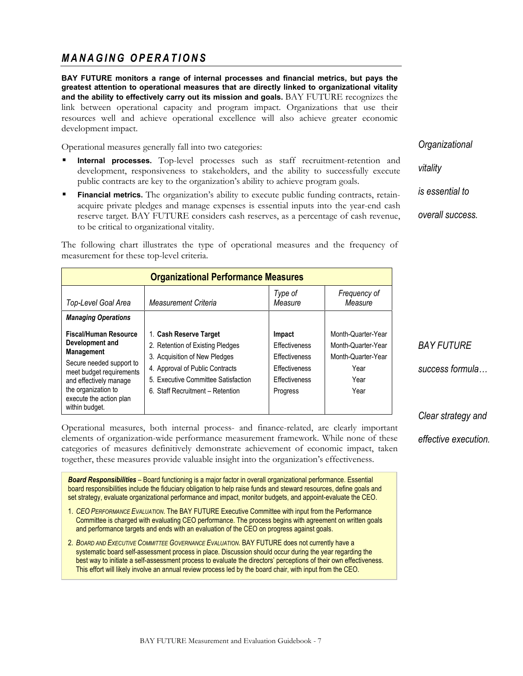# *MANAGING OPERATIONS*

**BAY FUTURE monitors a range of internal processes and financial metrics, but pays the greatest attention to operational measures that are directly linked to organizational vitality and the ability to effectively carry out its mission and goals.** BAY FUTURE recognizes the link between operational capacity and program impact. Organizations that use their resources well and achieve operational excellence will also achieve greater economic development impact.

Operational measures generally fall into two categories:

- **Internal processes.** Top-level processes such as staff recruitment-retention and development, responsiveness to stakeholders, and the ability to successfully execute public contracts are key to the organization's ability to achieve program goals.
- **Financial metrics.** The organization's ability to execute public funding contracts, retainacquire private pledges and manage expenses is essential inputs into the year-end cash reserve target. BAY FUTURE considers cash reserves, as a percentage of cash revenue, to be critical to organizational vitality.

The following chart illustrates the type of operational measures and the frequency of measurement for these top-level criteria.

| <b>Organizational Performance Measures</b>                                                                                                                                                                                 |                                                                                                                                                                                                           |                                                                                                             |                                                                                        |
|----------------------------------------------------------------------------------------------------------------------------------------------------------------------------------------------------------------------------|-----------------------------------------------------------------------------------------------------------------------------------------------------------------------------------------------------------|-------------------------------------------------------------------------------------------------------------|----------------------------------------------------------------------------------------|
| Top-Level Goal Area                                                                                                                                                                                                        | Measurement Criteria                                                                                                                                                                                      | Type of<br>Measure                                                                                          | Frequency of<br>Measure                                                                |
| <b>Managing Operations</b>                                                                                                                                                                                                 |                                                                                                                                                                                                           |                                                                                                             |                                                                                        |
| <b>Fiscal/Human Resource</b><br>Development and<br><b>Management</b><br>Secure needed support to<br>meet budget requirements<br>and effectively manage<br>the organization to<br>execute the action plan<br>within budget. | 1. Cash Reserve Target<br>2. Retention of Existing Pledges<br>3. Acquisition of New Pledges<br>4. Approval of Public Contracts<br>5. Executive Committee Satisfaction<br>6. Staff Recruitment - Retention | Impact<br><b>Fffectiveness</b><br><b>Fffectiveness</b><br>Effectiveness<br><b>Fffectiveness</b><br>Progress | Month-Quarter-Year<br>Month-Quarter-Year<br>Month-Quarter-Year<br>Year<br>Year<br>Year |

Operational measures, both internal process- and finance-related, are clearly important elements of organization-wide performance measurement framework. While none of these categories of measures definitively demonstrate achievement of economic impact, taken together, these measures provide valuable insight into the organization's effectiveness.

*Board Responsibilities* – Board functioning is a major factor in overall organizational performance. Essential board responsibilities include the fiduciary obligation to help raise funds and steward resources, define goals and set strategy, evaluate organizational performance and impact, monitor budgets, and appoint-evaluate the CEO.

- 1. *CEO PERFORMANCE EVALUATION*. The BAY FUTURE Executive Committee with input from the Performance Committee is charged with evaluating CEO performance. The process begins with agreement on written goals and performance targets and ends with an evaluation of the CEO on progress against goals.
- 2. *BOARD AND EXECUTIVE COMMITTEE GOVERNANCE EVALUATION*. BAY FUTURE does not currently have a systematic board self-assessment process in place. Discussion should occur during the year regarding the best way to initiate a self-assessment process to evaluate the directors' perceptions of their own effectiveness. This effort will likely involve an annual review process led by the board chair, with input from the CEO.

*Organizational* 

*vitality* 

*is essential to* 

*overall success.* 

## *BAY FUTURE*

*success formula…* 

*Clear strategy and* 

*effective execution.*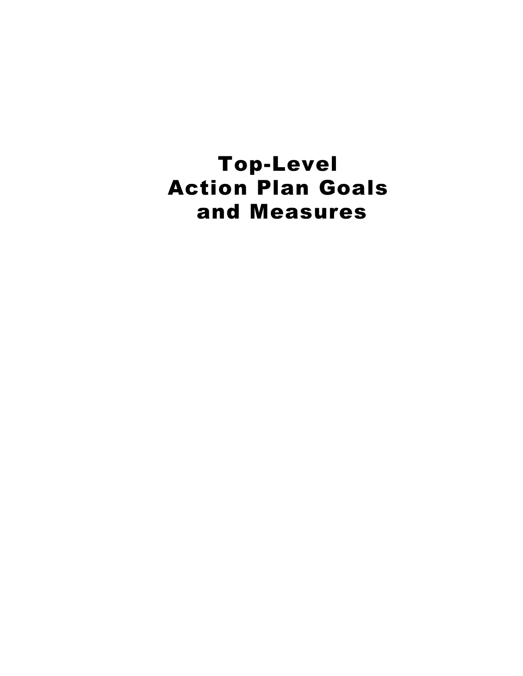# Top-Level Action Plan Goals and Measures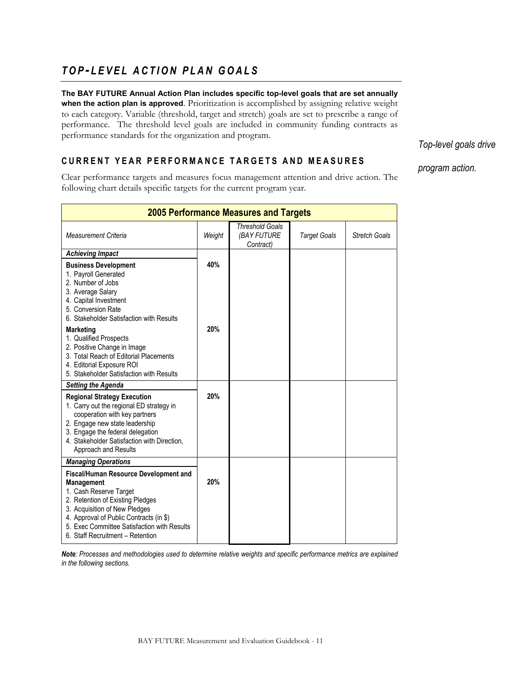# *TOP - LEVEL ACTION PLAN GOALS*

#### **The BAY FUTURE Annual Action Plan includes specific top-level goals that are set annually**

**when the action plan is approved**. Prioritization is accomplished by assigning relative weight to each category. Variable (threshold, target and stretch) goals are set to prescribe a range of performance. The threshold level goals are included in community funding contracts as performance standards for the organization and program.

*Top-level goals drive* 

*program action.* 

## **CURRENT YEAR PERFORMANCE TARGETS AND MEASURES**

Clear performance targets and measures focus management attention and drive action. The following chart details specific targets for the current program year.

|                                                                                                                                                                                                                                                                                                | <b>2005 Performance Measures and Targets</b> |                                                    |                     |                      |
|------------------------------------------------------------------------------------------------------------------------------------------------------------------------------------------------------------------------------------------------------------------------------------------------|----------------------------------------------|----------------------------------------------------|---------------------|----------------------|
| <b>Measurement Criteria</b>                                                                                                                                                                                                                                                                    | Weight                                       | Threshold Goals<br><b>(BAY FUTURE</b><br>Contract) | <b>Target Goals</b> | <b>Stretch Goals</b> |
| <b>Achieving Impact</b>                                                                                                                                                                                                                                                                        |                                              |                                                    |                     |                      |
| <b>Business Development</b><br>1. Payroll Generated<br>2. Number of Jobs<br>3. Average Salary<br>4. Capital Investment<br>5. Conversion Rate<br>6. Stakeholder Satisfaction with Results                                                                                                       | 40%                                          |                                                    |                     |                      |
| <b>Marketing</b><br>1. Qualified Prospects<br>2. Positive Change in Image<br>3. Total Reach of Editorial Placements<br>4. Editorial Exposure ROI<br>5. Stakeholder Satisfaction with Results                                                                                                   | 20%                                          |                                                    |                     |                      |
| <b>Setting the Agenda</b>                                                                                                                                                                                                                                                                      |                                              |                                                    |                     |                      |
| <b>Regional Strategy Execution</b><br>1. Carry out the regional ED strategy in<br>cooperation with key partners<br>2. Engage new state leadership<br>3. Engage the federal delegation<br>4. Stakeholder Satisfaction with Direction,<br>Approach and Results                                   | 20%                                          |                                                    |                     |                      |
| <b>Managing Operations</b>                                                                                                                                                                                                                                                                     |                                              |                                                    |                     |                      |
| <b>Fiscal/Human Resource Development and</b><br><b>Management</b><br>1. Cash Reserve Target<br>2. Retention of Existing Pledges<br>3. Acquisition of New Pledges<br>4. Approval of Public Contracts (in \$)<br>5. Exec Committee Satisfaction with Results<br>6. Staff Recruitment - Retention | 20%                                          |                                                    |                     |                      |

*Note: Processes and methodologies used to determine relative weights and specific performance metrics are explained in the following sections.*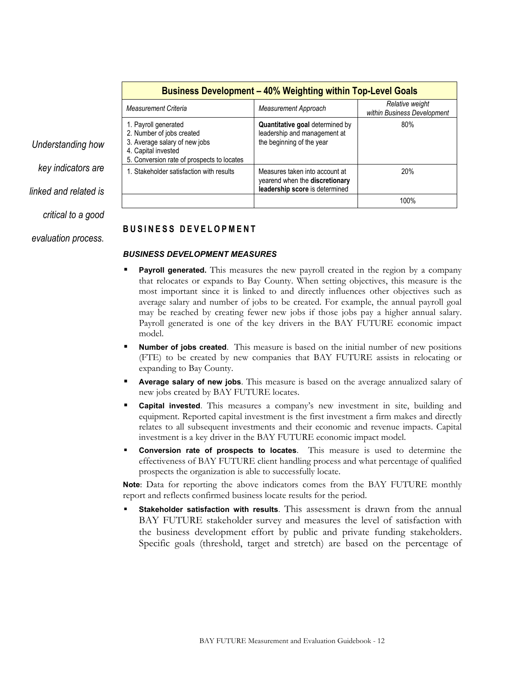| <b>Business Development – 40% Weighting within Top-Level Goals</b>                                                                                      |                                                                                                     |                                                |  |
|---------------------------------------------------------------------------------------------------------------------------------------------------------|-----------------------------------------------------------------------------------------------------|------------------------------------------------|--|
| Measurement Criteria                                                                                                                                    | Measurement Approach                                                                                | Relative weight<br>within Business Development |  |
| 1. Payroll generated<br>2. Number of jobs created<br>3. Average salary of new jobs<br>4. Capital invested<br>5. Conversion rate of prospects to locates | <b>Quantitative goal determined by</b><br>leadership and management at<br>the beginning of the year | 80%                                            |  |
| 1. Stakeholder satisfaction with results                                                                                                                | Measures taken into account at<br>yearend when the discretionary<br>leadership score is determined  | <b>20%</b>                                     |  |
|                                                                                                                                                         |                                                                                                     | 100%                                           |  |

*Understanding how* 

*key indicators are* 

*linked and related is* 

*critical to a good* 

*evaluation process.* 

## **BUSINESS DEVELOPMENT**

## *BUSINESS DEVELOPMENT MEASURES*

- **Payroll generated.** This measures the new payroll created in the region by a company that relocates or expands to Bay County. When setting objectives, this measure is the most important since it is linked to and directly influences other objectives such as average salary and number of jobs to be created. For example, the annual payroll goal may be reached by creating fewer new jobs if those jobs pay a higher annual salary. Payroll generated is one of the key drivers in the BAY FUTURE economic impact model.
- **Number of jobs created**. This measure is based on the initial number of new positions (FTE) to be created by new companies that BAY FUTURE assists in relocating or expanding to Bay County.
- **Average salary of new jobs**. This measure is based on the average annualized salary of new jobs created by BAY FUTURE locates.
- **Capital invested**. This measures a company's new investment in site, building and equipment. Reported capital investment is the first investment a firm makes and directly relates to all subsequent investments and their economic and revenue impacts. Capital investment is a key driver in the BAY FUTURE economic impact model.
- **Conversion rate of prospects to locates**. This measure is used to determine the effectiveness of BAY FUTURE client handling process and what percentage of qualified prospects the organization is able to successfully locate.

**Note**: Data for reporting the above indicators comes from the BAY FUTURE monthly report and reflects confirmed business locate results for the period.

 **Stakeholder satisfaction with results**. This assessment is drawn from the annual BAY FUTURE stakeholder survey and measures the level of satisfaction with the business development effort by public and private funding stakeholders. Specific goals (threshold, target and stretch) are based on the percentage of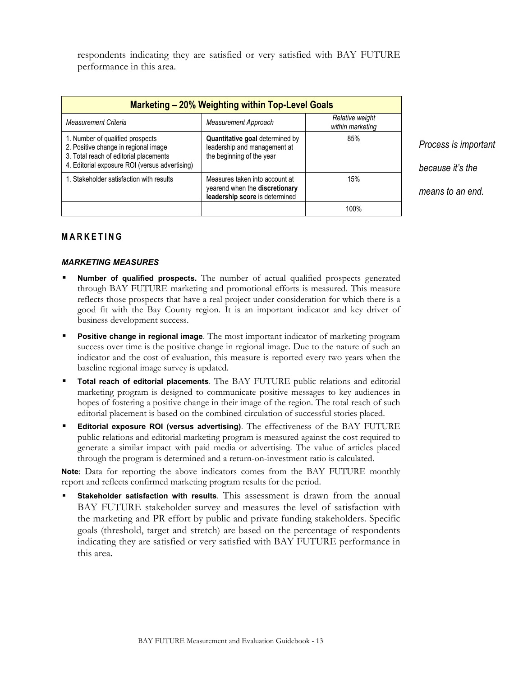respondents indicating they are satisfied or very satisfied with BAY FUTURE performance in this area.

| <b>Marketing – 20% Weighting within Top-Level Goals</b>                                                                                                              |                                                                                                    |                                     |  |
|----------------------------------------------------------------------------------------------------------------------------------------------------------------------|----------------------------------------------------------------------------------------------------|-------------------------------------|--|
| Measurement Criteria                                                                                                                                                 | Measurement Approach                                                                               | Relative weight<br>within marketing |  |
| 1. Number of qualified prospects<br>2. Positive change in regional image<br>3. Total reach of editorial placements<br>4. Editorial exposure ROI (versus advertising) | Quantitative goal determined by<br>leadership and management at<br>the beginning of the year       | 85%                                 |  |
| 1. Stakeholder satisfaction with results                                                                                                                             | Measures taken into account at<br>yearend when the discretionary<br>leadership score is determined | 15%                                 |  |
|                                                                                                                                                                      |                                                                                                    | 100%                                |  |

*Process is important* 

*because it's the* 

*means to an end.* 

## **MARKETING**

#### *MARKETING MEASURES*

- **Number of qualified prospects.** The number of actual qualified prospects generated through BAY FUTURE marketing and promotional efforts is measured. This measure reflects those prospects that have a real project under consideration for which there is a good fit with the Bay County region. It is an important indicator and key driver of business development success.
- **Positive change in regional image**. The most important indicator of marketing program success over time is the positive change in regional image. Due to the nature of such an indicator and the cost of evaluation, this measure is reported every two years when the baseline regional image survey is updated.
- **Total reach of editorial placements**. The BAY FUTURE public relations and editorial marketing program is designed to communicate positive messages to key audiences in hopes of fostering a positive change in their image of the region. The total reach of such editorial placement is based on the combined circulation of successful stories placed.
- **Editorial exposure ROI (versus advertising)**. The effectiveness of the BAY FUTURE public relations and editorial marketing program is measured against the cost required to generate a similar impact with paid media or advertising. The value of articles placed through the program is determined and a return-on-investment ratio is calculated.

**Note**: Data for reporting the above indicators comes from the BAY FUTURE monthly report and reflects confirmed marketing program results for the period.

 **Stakeholder satisfaction with results**. This assessment is drawn from the annual BAY FUTURE stakeholder survey and measures the level of satisfaction with the marketing and PR effort by public and private funding stakeholders. Specific goals (threshold, target and stretch) are based on the percentage of respondents indicating they are satisfied or very satisfied with BAY FUTURE performance in this area.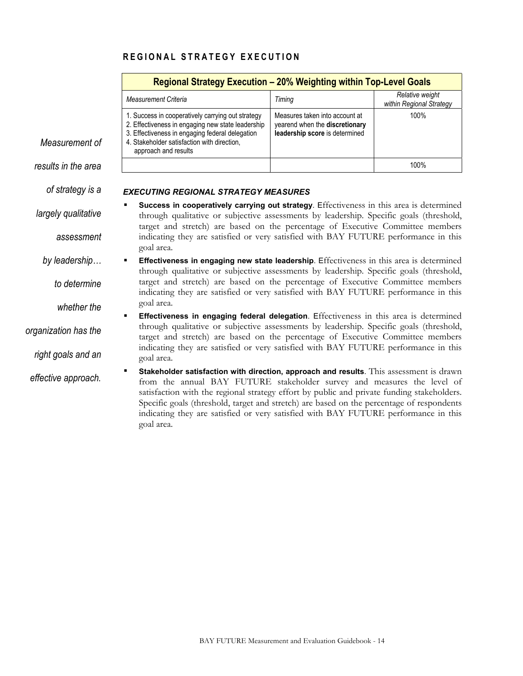## **REGIONAL STRATEGY EXECUTION**

| <b>Regional Strategy Execution - 20% Weighting within Top-Level Goals</b>                                                                                                                                                        |                                                                                                    |                                             |  |  |
|----------------------------------------------------------------------------------------------------------------------------------------------------------------------------------------------------------------------------------|----------------------------------------------------------------------------------------------------|---------------------------------------------|--|--|
| Measurement Criteria                                                                                                                                                                                                             | Timing                                                                                             | Relative weight<br>within Regional Strategy |  |  |
| 1. Success in cooperatively carrying out strategy<br>2. Effectiveness in engaging new state leadership<br>3. Effectiveness in engaging federal delegation<br>4. Stakeholder satisfaction with direction,<br>approach and results | Measures taken into account at<br>yearend when the discretionary<br>leadership score is determined | 100%                                        |  |  |
|                                                                                                                                                                                                                                  |                                                                                                    | 100%                                        |  |  |

*Measurement of* 

*results in the area* 

*of strategy is a* 

*largely qualitative* 

*assessment* 

*by leadership…* 

*to determine* 

*whether the* 

*organization has the* 

*right goals and an* 

*effective approach.* 

#### *EXECUTING REGIONAL STRATEGY MEASURES*

- **Success in cooperatively carrying out strategy**. Effectiveness in this area is determined through qualitative or subjective assessments by leadership. Specific goals (threshold, target and stretch) are based on the percentage of Executive Committee members indicating they are satisfied or very satisfied with BAY FUTURE performance in this goal area.
- **Effectiveness in engaging new state leadership**. Effectiveness in this area is determined through qualitative or subjective assessments by leadership. Specific goals (threshold, target and stretch) are based on the percentage of Executive Committee members indicating they are satisfied or very satisfied with BAY FUTURE performance in this goal area.
- **Effectiveness in engaging federal delegation**. Effectiveness in this area is determined through qualitative or subjective assessments by leadership. Specific goals (threshold, target and stretch) are based on the percentage of Executive Committee members indicating they are satisfied or very satisfied with BAY FUTURE performance in this goal area.
- **Stakeholder satisfaction with direction, approach and results**. This assessment is drawn from the annual BAY FUTURE stakeholder survey and measures the level of satisfaction with the regional strategy effort by public and private funding stakeholders. Specific goals (threshold, target and stretch) are based on the percentage of respondents indicating they are satisfied or very satisfied with BAY FUTURE performance in this goal area.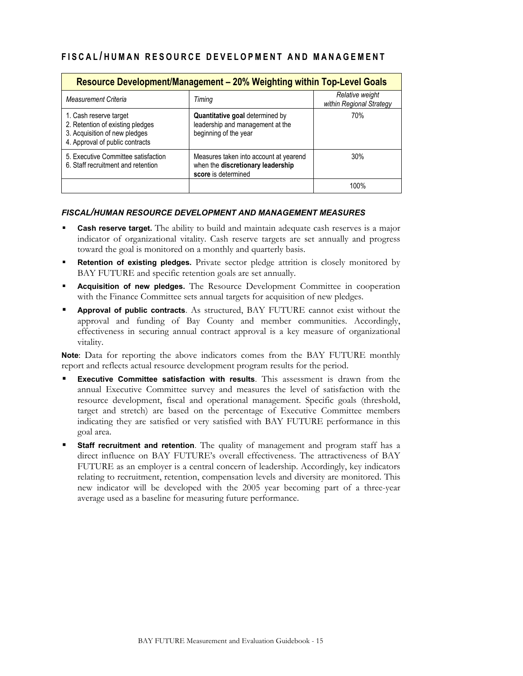## **FISCAL / HUMAN RESOURCE DEVELO PMENT AND MANAGEMENT**

| Resource Development/Management – 20% Weighting within Top-Level Goals                                                         |                                                                                                     |                                             |  |  |
|--------------------------------------------------------------------------------------------------------------------------------|-----------------------------------------------------------------------------------------------------|---------------------------------------------|--|--|
| Measurement Criteria                                                                                                           | Timing                                                                                              | Relative weight<br>within Regional Strategy |  |  |
| 1. Cash reserve target<br>2. Retention of existing pledges<br>3. Acquisition of new pledges<br>4. Approval of public contracts | <b>Quantitative goal determined by</b><br>leadership and management at the<br>beginning of the year | 70%                                         |  |  |
| 5. Executive Committee satisfaction<br>6. Staff recruitment and retention                                                      | Measures taken into account at yearend<br>when the discretionary leadership<br>score is determined  | 30%                                         |  |  |
|                                                                                                                                |                                                                                                     | 100%                                        |  |  |

#### *FISCAL/HUMAN RESOURCE DEVELOPMENT AND MANAGEMENT MEASURES*

- **Cash reserve target.** The ability to build and maintain adequate cash reserves is a major indicator of organizational vitality. Cash reserve targets are set annually and progress toward the goal is monitored on a monthly and quarterly basis.
- **Retention of existing pledges.** Private sector pledge attrition is closely monitored by BAY FUTURE and specific retention goals are set annually.
- **Acquisition of new pledges.** The Resource Development Committee in cooperation with the Finance Committee sets annual targets for acquisition of new pledges.
- **Approval of public contracts**. As structured, BAY FUTURE cannot exist without the approval and funding of Bay County and member communities. Accordingly, effectiveness in securing annual contract approval is a key measure of organizational vitality.

**Note**: Data for reporting the above indicators comes from the BAY FUTURE monthly report and reflects actual resource development program results for the period.

- **Executive Committee satisfaction with results**. This assessment is drawn from the annual Executive Committee survey and measures the level of satisfaction with the resource development, fiscal and operational management. Specific goals (threshold, target and stretch) are based on the percentage of Executive Committee members indicating they are satisfied or very satisfied with BAY FUTURE performance in this goal area.
- **Staff recruitment and retention**. The quality of management and program staff has a direct influence on BAY FUTURE's overall effectiveness. The attractiveness of BAY FUTURE as an employer is a central concern of leadership. Accordingly, key indicators relating to recruitment, retention, compensation levels and diversity are monitored. This new indicator will be developed with the 2005 year becoming part of a three-year average used as a baseline for measuring future performance.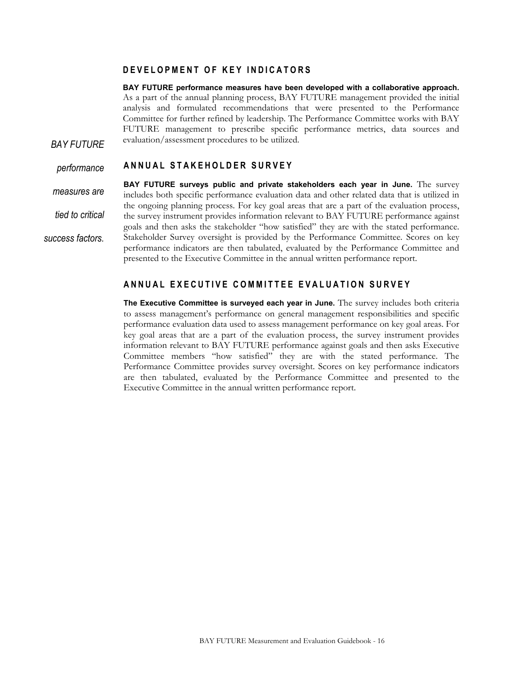#### **DEVELOPMENT OF KEY INDICATORS**

**BAY FUTURE performance measures have been developed with a collaborative approach.** As a part of the annual planning process, BAY FUTURE management provided the initial analysis and formulated recommendations that were presented to the Performance Committee for further refined by leadership. The Performance Committee works with BAY FUTURE management to prescribe specific performance metrics, data sources and evaluation/assessment procedures to be utilized.

*BAY FUTURE* 

#### **ANNUAL STAKEHOLDER SURVEY** *performance*

**BAY FUTURE surveys public and private stakeholders each year in June.** The survey includes both specific performance evaluation data and other related data that is utilized in the ongoing planning process. For key goal areas that are a part of the evaluation process, the survey instrument provides information relevant to BAY FUTURE performance against goals and then asks the stakeholder "how satisfied" they are with the stated performance. Stakeholder Survey oversight is provided by the Performance Committee. Scores on key performance indicators are then tabulated, evaluated by the Performance Committee and presented to the Executive Committee in the annual written performance report. *measures are tied to critical success factors.* 

#### **ANNUAL EXECUTIVE COMMITTEE EVALUATION SURVEY**

**The Executive Committee is surveyed each year in June.** The survey includes both criteria to assess management's performance on general management responsibilities and specific performance evaluation data used to assess management performance on key goal areas. For key goal areas that are a part of the evaluation process, the survey instrument provides information relevant to BAY FUTURE performance against goals and then asks Executive Committee members "how satisfied" they are with the stated performance. The Performance Committee provides survey oversight. Scores on key performance indicators are then tabulated, evaluated by the Performance Committee and presented to the Executive Committee in the annual written performance report.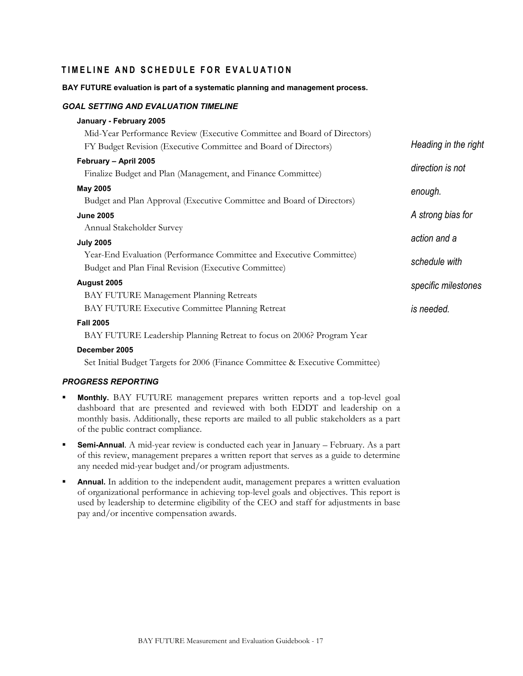### **TIMELINE AND SCHEDULE FOR EVALUATION**

#### **BAY FUTURE evaluation is part of a systematic planning and management process.**

#### *GOAL SETTING AND EVALUATION TIMELINE*

| January - February 2005                                                  |                      |
|--------------------------------------------------------------------------|----------------------|
| Mid-Year Performance Review (Executive Committee and Board of Directors) |                      |
| FY Budget Revision (Executive Committee and Board of Directors)          | Heading in the right |
| February - April 2005                                                    |                      |
| Finalize Budget and Plan (Management, and Finance Committee)             | direction is not     |
| <b>May 2005</b>                                                          | enough.              |
| Budget and Plan Approval (Executive Committee and Board of Directors)    |                      |
| <b>June 2005</b>                                                         | A strong bias for    |
| Annual Stakeholder Survey                                                |                      |
| <b>July 2005</b>                                                         | action and a         |
| Year-End Evaluation (Performance Committee and Executive Committee)      |                      |
| Budget and Plan Final Revision (Executive Committee)                     | schedule with        |
| August 2005                                                              | specific milestones  |
| BAY FUTURE Management Planning Retreats                                  |                      |
| BAY FUTURE Executive Committee Planning Retreat                          | is needed.           |
| <b>Fall 2005</b>                                                         |                      |
| BAY FUTURE Leadership Planning Retreat to focus on 2006? Program Year    |                      |

#### **December 2005**

Set Initial Budget Targets for 2006 (Finance Committee & Executive Committee)

#### *PROGRESS REPORTING*

- **Monthly.** BAY FUTURE management prepares written reports and a top-level goal dashboard that are presented and reviewed with both EDDT and leadership on a monthly basis. Additionally, these reports are mailed to all public stakeholders as a part of the public contract compliance.
- **Semi-Annual**. A mid-year review is conducted each year in January February. As a part of this review, management prepares a written report that serves as a guide to determine any needed mid-year budget and/or program adjustments.
- **Annual.** In addition to the independent audit, management prepares a written evaluation of organizational performance in achieving top-level goals and objectives. This report is used by leadership to determine eligibility of the CEO and staff for adjustments in base pay and/or incentive compensation awards.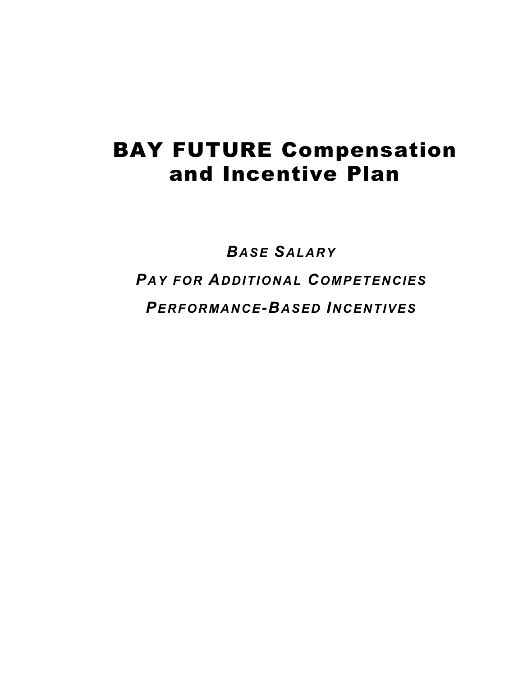# BAY FUTURE Compensation and Incentive Plan

*BASE SALARY*

*PAY FOR ADDITIONAL COMPETENCIES*

*PERFORMANCE-BASED INCENTIVES*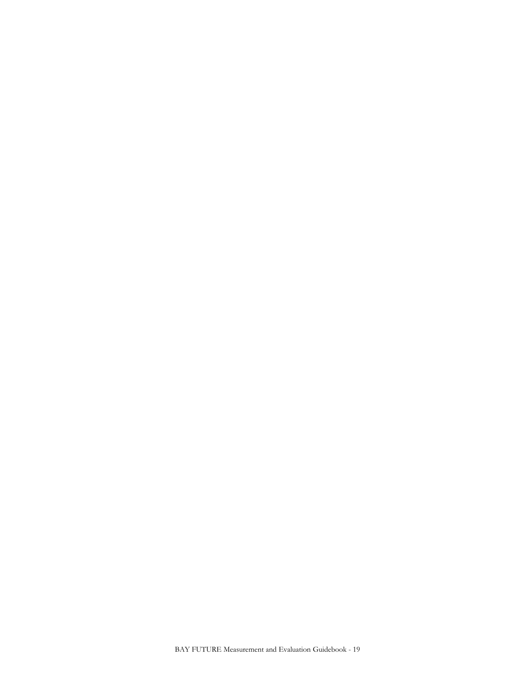BAY FUTURE Measurement and Evaluation Guidebook - 19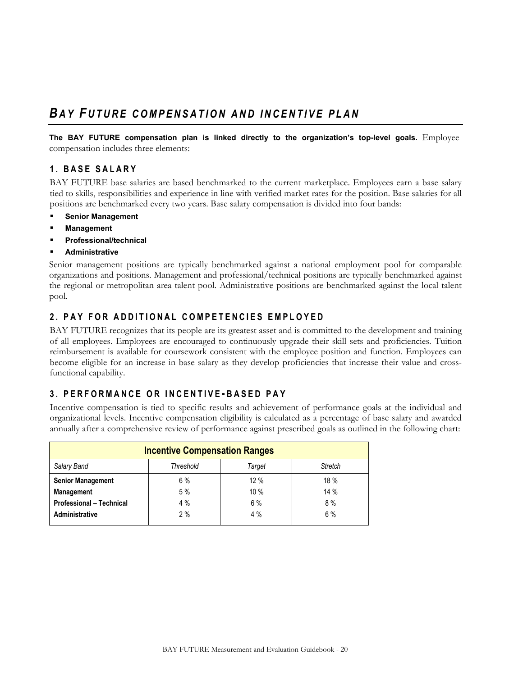# *BAY F UTURE COMPENSATION AND INCENTIVE PLAN*

**The BAY FUTURE compensation plan is linked directly to the organization's top-level goals.** Employee compensation includes three elements:

## **1. BASE SALARY**

BAY FUTURE base salaries are based benchmarked to the current marketplace. Employees earn a base salary tied to skills, responsibilities and experience in line with verified market rates for the position. Base salaries for all positions are benchmarked every two years. Base salary compensation is divided into four bands:

- **Senior Management**
- **Management**
- **Professional/technical**
- **Administrative**

Senior management positions are typically benchmarked against a national employment pool for comparable organizations and positions. Management and professional/technical positions are typically benchmarked against the regional or metropolitan area talent pool. Administrative positions are benchmarked against the local talent pool.

## **2. PAY FOR ADDITIONAL COMPETENCIES EMPLOYED**

BAY FUTURE recognizes that its people are its greatest asset and is committed to the development and training of all employees. Employees are encouraged to continuously upgrade their skill sets and proficiencies. Tuition reimbursement is available for coursework consistent with the employee position and function. Employees can become eligible for an increase in base salary as they develop proficiencies that increase their value and crossfunctional capability.

## **3. PERFORMANCE OR INCENTIVE - BASED PAY**

Incentive compensation is tied to specific results and achievement of performance goals at the individual and organizational levels. Incentive compensation eligibility is calculated as a percentage of base salary and awarded annually after a comprehensive review of performance against prescribed goals as outlined in the following chart:

| <b>Incentive Compensation Ranges</b>                        |     |     |      |  |  |
|-------------------------------------------------------------|-----|-----|------|--|--|
| <b>Threshold</b><br>Salary Band<br><b>Stretch</b><br>Target |     |     |      |  |  |
| <b>Senior Management</b>                                    | 6%  | 12% | 18 % |  |  |
| <b>Management</b>                                           | 5%  | 10% | 14 % |  |  |
| <b>Professional - Technical</b>                             | 4 % | 6%  | 8%   |  |  |
| Administrative                                              | 2%  | 4%  | 6%   |  |  |